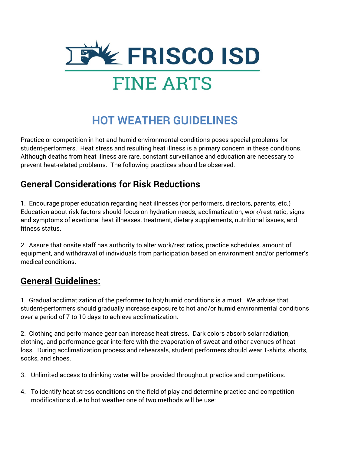

# **HOT WEATHER GUIDELINES**

Practice or competition in hot and humid environmental conditions poses special problems for student-performers. Heat stress and resulting heat illness is a primary concern in these conditions. Although deaths from heat illness are rare, constant surveillance and education are necessary to prevent heat-related problems. The following practices should be observed.

### **General Considerations for Risk Reductions**

1. Encourage proper education regarding heat illnesses (for performers, directors, parents, etc.) Education about risk factors should focus on hydration needs; acclimatization, work/rest ratio, signs and symptoms of exertional heat illnesses, treatment, dietary supplements, nutritional issues, and fitness status.

2. Assure that onsite staff has authority to alter work/rest ratios, practice schedules, amount of equipment, and withdrawal of individuals from participation based on environment and/or performer's medical conditions.

## **General Guidelines:**

1. Gradual acclimatization of the performer to hot/humid conditions is a must. We advise that student-performers should gradually increase exposure to hot and/or humid environmental conditions over a period of 7 to 10 days to achieve acclimatization.

2. Clothing and performance gear can increase heat stress. Dark colors absorb solar radiation, clothing, and performance gear interfere with the evaporation of sweat and other avenues of heat loss. During acclimatization process and rehearsals, student performers should wear T-shirts, shorts, socks, and shoes.

- 3. Unlimited access to drinking water will be provided throughout practice and competitions.
- 4. To identify heat stress conditions on the field of play and determine practice and competition modifications due to hot weather one of two methods will be use: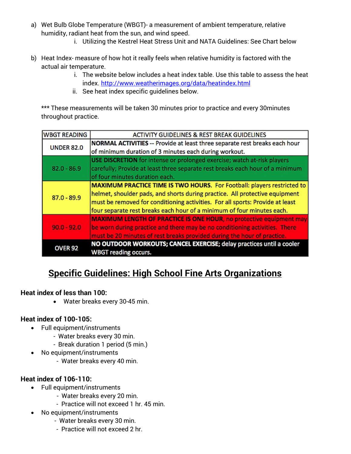- a) Wet Bulb Globe Temperature (WBGT)- a measurement of ambient temperature, relative humidity, radiant heat from the sun, and wind speed.
	- i. Utilizing the Kestrel Heat Stress Unit and NATA Guidelines: See Chart below
- b) Heat Index- measure of how hot it really feels when relative humidity is factored with the actual air temperature.
	- i. The website below includes a heat index table. Use this table to assess the heat index.<http://www.weatherimages.org/data/heatindex.html>
	- ii. See heat index specific guidelines below.

\*\*\* These measurements will be taken 30 minutes prior to practice and every 30minutes throughout practice.

| <b>WBGT READING</b> | ACTIVITY GUIDELINES & REST BREAK GUIDELINES                                       |
|---------------------|-----------------------------------------------------------------------------------|
| <b>UNDER 82.0</b>   | <b>NORMAL ACTIVITIES -- Provide at least three separate rest breaks each hour</b> |
|                     | of minimum duration of 3 minutes each during workout.                             |
| $82.0 - 86.9$       | <b>USE DISCRETION</b> for intense or prolonged exercise; watch at-risk players    |
|                     | carefully; Provide at least three separate rest breaks each hour of a minimum     |
|                     | of four minutes duration each.                                                    |
| $87.0 - 89.9$       | MAXIMUM PRACTICE TIME IS TWO HOURS. For Football: players restricted to           |
|                     | helmet, shoulder pads, and shorts during practice. All protective equipment       |
|                     | must be removed for conditioning activities. For all sports: Provide at least     |
|                     | four separate rest breaks each hour of a minimum of four minutes each.            |
| $90.0 - 92.0$       | <b>MAXIMUM LENGTH OF PRACTICE IS ONE HOUR, no protective equipment may</b>        |
|                     | be worn during practice and there may be no conditioning activities. There        |
|                     | must be 20 minutes of rest breaks provided during the hour of practice.           |
| <b>OVER 92</b>      | NO OUTDOOR WORKOUTS; CANCEL EXERCISE; delay practices until a cooler              |
|                     | <b>WBGT reading occurs.</b>                                                       |

## **Specific Guidelines: High School Fine Arts Organizations**

#### **Heat index of less than 100:**

• Water breaks every 30-45 min.

#### **Heat index of 100-105:**

- Full equipment/instruments
	- Water breaks every 30 min.
		- Break duration 1 period (5 min.)
- No equipment/instruments
	- Water breaks every 40 min.

#### **Heat index of 106-110:**

- Full equipment/instruments
	- Water breaks every 20 min.
		- Practice will not exceed 1 hr. 45 min.
- No equipment/instruments
	- Water breaks every 30 min.
	- Practice will not exceed 2 hr.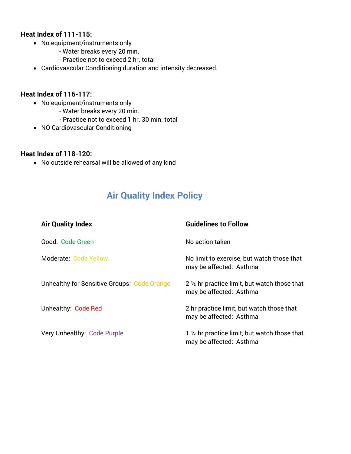#### **Heat Index of 111-115:**

- No equipment/instruments only
	- Water breaks every 20 min.
	- Practice not to exceed 2 hr. total
- Cardiovascular Conditioning duration and intensity decreased.

#### **Heat Index of 116-117:**

- No equipment/instruments only
	- Water breaks every 20 min.
	- Practice not to exceed 1 hr. 30 min. total
- NO Cardiovascular Conditioning

#### **Heat Index of 118-120:**

• No outside rehearsal will be allowed of any kind

## **Air Quality Index Policy**

| <b>Air Quality Index</b>                           | <b>Guidelines to Follow</b>                                              |
|----------------------------------------------------|--------------------------------------------------------------------------|
| Good: Code Green                                   | No action taken                                                          |
| Moderate: Code Yellow                              | No limit to exercise, but watch those that<br>may be affected: Asthma    |
| <b>Unhealthy for Sensitive Groups: Code Orange</b> | 2 1/2 hr practice limit, but watch those that<br>may be affected: Asthma |
| Unhealthy: Code Red                                | 2 hr practice limit, but watch those that<br>may be affected: Asthma     |
| Very Unhealthy: Code Purple                        | 1 1/2 hr practice limit, but watch those that<br>may be affected: Asthma |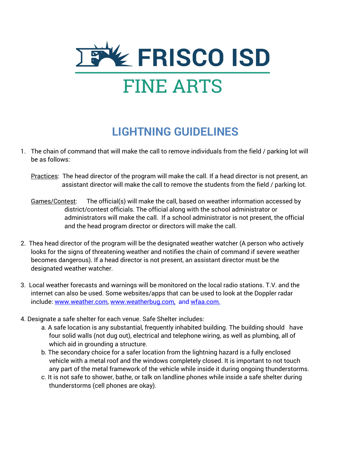

# **LIGHTNING GUIDELINES**

- 1. The chain of command that will make the call to remove individuals from the field / parking lot will be as follows:
	- Practices: The head director of the program will make the call. If a head director is not present, an assistant director will make the call to remove the students from the field / parking lot.
	- Games/Contest: The official(s) will make the call, based on weather information accessed by district/contest officials. The official along with the school administrator or administrators will make the call. If a school administrator is not present, the official and the head program director or directors will make the call.
- 2. Thea head director of the program will be the designated weather watcher (A person who actively looks for the signs of threatening weather and notifies the chain of command if severe weather becomes dangerous). If a head director is not present, an assistant director must be the designated weather watcher.
- 3. Local weather forecasts and warnings will be monitored on the local radio stations. T.V. and the internet can also be used. Some websites/apps that can be used to look at the Doppler radar include: [www.weather.com,](http://www.weather.com/) [www.weatherbug.com,](http://www.weatherbug.com/) and wfaa.com.
- 4. Designate a safe shelter for each venue. Safe Shelter includes:
	- a. A safe location is any substantial, frequently inhabited building. The building should have four solid walls (not dug out), electrical and telephone wiring, as well as plumbing, all of which aid in grounding a structure.
	- b. The secondary choice for a safer location from the lightning hazard is a fully enclosed vehicle with a metal roof and the windows completely closed. It is important to not touch any part of the metal framework of the vehicle while inside it during ongoing thunderstorms.
	- c. It is not safe to shower, bathe, or talk on landline phones while inside a safe shelter during thunderstorms (cell phones are okay).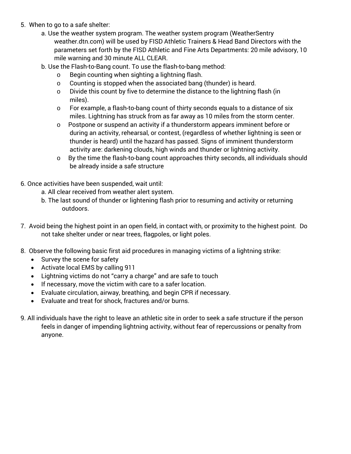- 5. When to go to a safe shelter:
	- a. Use the weather system program. The weather system program (WeatherSentry weather.dtn.com) will be used by FISD Athletic Trainers & Head Band Directors with the parameters set forth by the FISD Athletic and Fine Arts Departments: 20 mile advisory, 10 mile warning and 30 minute ALL CLEAR.
	- b. Use the Flash-to-Bang count. To use the flash-to-bang method:
		- o Begin counting when sighting a lightning flash.
		- o Counting is stopped when the associated bang (thunder) is heard.
		- o Divide this count by five to determine the distance to the lightning flash (in miles).
		- o For example, a flash-to-bang count of thirty seconds equals to a distance of six miles. Lightning has struck from as far away as 10 miles from the storm center.
		- o Postpone or suspend an activity if a thunderstorm appears imminent before or during an activity, rehearsal, or contest, (regardless of whether lightning is seen or thunder is heard) until the hazard has passed. Signs of imminent thunderstorm activity are: darkening clouds, high winds and thunder or lightning activity.
		- o By the time the flash-to-bang count approaches thirty seconds, all individuals should be already inside a safe structure
- 6. Once activities have been suspended, wait until:
	- a. All clear received from weather alert system.
	- b. The last sound of thunder or lightening flash prior to resuming and activity or returning outdoors.
- 7. Avoid being the highest point in an open field, in contact with, or proximity to the highest point. Do not take shelter under or near trees, flagpoles, or light poles.
- 8. Observe the following basic first aid procedures in managing victims of a lightning strike:
	- Survey the scene for safety
	- Activate local EMS by calling 911
	- Lightning victims do not "carry a charge" and are safe to touch
	- If necessary, move the victim with care to a safer location.
	- Evaluate circulation, airway, breathing, and begin CPR if necessary.
	- Evaluate and treat for shock, fractures and/or burns.
- 9. All individuals have the right to leave an athletic site in order to seek a safe structure if the person feels in danger of impending lightning activity, without fear of repercussions or penalty from anyone.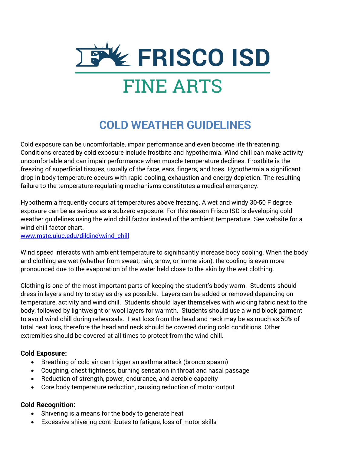

# **COLD WEATHER GUIDELINES**

Cold exposure can be uncomfortable, impair performance and even become life threatening. Conditions created by cold exposure include frostbite and hypothermia. Wind chill can make activity uncomfortable and can impair performance when muscle temperature declines. Frostbite is the freezing of superficial tissues, usually of the face, ears, fingers, and toes. Hypothermia a significant drop in body temperature occurs with rapid cooling, exhaustion and energy depletion. The resulting failure to the temperature-regulating mechanisms constitutes a medical emergency.

Hypothermia frequently occurs at temperatures above freezing. A wet and windy 30-50 F degree exposure can be as serious as a subzero exposure. For this reason Frisco ISD is developing cold weather guidelines using the wind chill factor instead of the ambient temperature. See website for a wind chill factor chart.

[www.mste.uiuc.edu/dildine\wind\\_chill](http://www.mste.uiuc.edu/dildine/wind_chill)

Wind speed interacts with ambient temperature to significantly increase body cooling. When the body and clothing are wet (whether from sweat, rain, snow, or immersion), the cooling is even more pronounced due to the evaporation of the water held close to the skin by the wet clothing.

Clothing is one of the most important parts of keeping the student's body warm. Students should dress in layers and try to stay as dry as possible. Layers can be added or removed depending on temperature, activity and wind chill. Students should layer themselves with wicking fabric next to the body, followed by lightweight or wool layers for warmth. Students should use a wind block garment to avoid wind chill during rehearsals. Heat loss from the head and neck may be as much as 50% of total heat loss, therefore the head and neck should be covered during cold conditions. Other extremities should be covered at all times to protect from the wind chill.

#### **Cold Exposure:**

- Breathing of cold air can trigger an asthma attack (bronco spasm)
- Coughing, chest tightness, burning sensation in throat and nasal passage
- Reduction of strength, power, endurance, and aerobic capacity
- Core body temperature reduction, causing reduction of motor output

#### **Cold Recognition:**

- Shivering is a means for the body to generate heat
- Excessive shivering contributes to fatigue, loss of motor skills